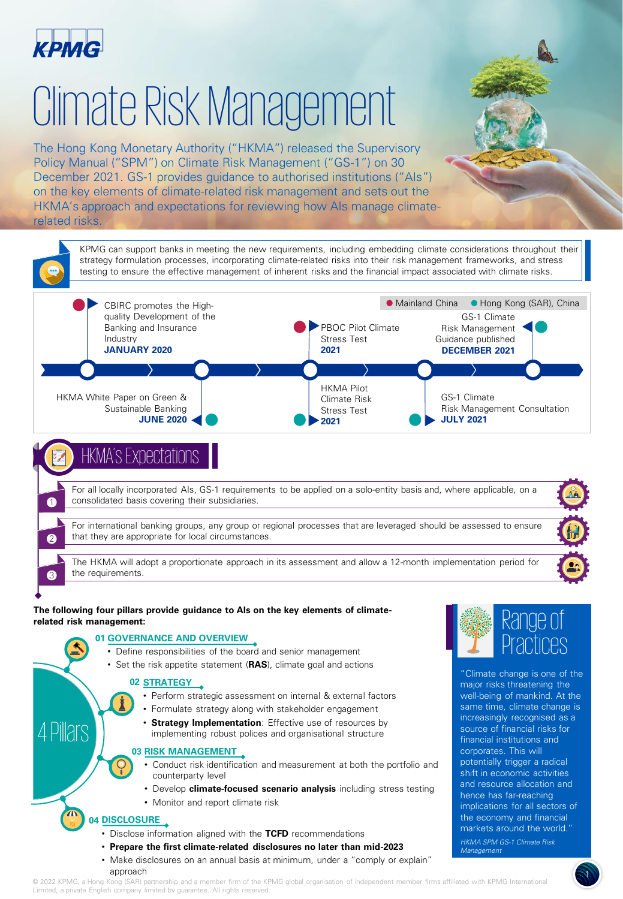

# Climate Risk Management

The Hong Kong Monetary Authority ("HKMA") released the Supervisory Policy Manual ("SPM") on Climate Risk Management ("GS-1") on 30 December 2021. GS-1 provides guidance to authorised institutions ("AIs") on the key elements of climate-related risk management and sets out the HKMA's approach and expectations for reviewing how AIs manage climaterelated risks.



### **DISCLOSURE 04**

- Disclose information aligned with the **TCFD** recommendations
- **Prepare the first climate-related disclosures no later than mid-2023**
- Make disclosures on an annual basis at minimum, under a "comply or explain" approach

© 2022 KPMG, a Hong Kong (SAR) partnership and a member firm of the KPMG global organisation of independent member firms affiliated with KPMG International Limited, a private English company limited by guarantee. All rights reserved.

the economy and financial markets around the world." HKMA SPM GS-1 Climate Risk

।<br>।

*Management*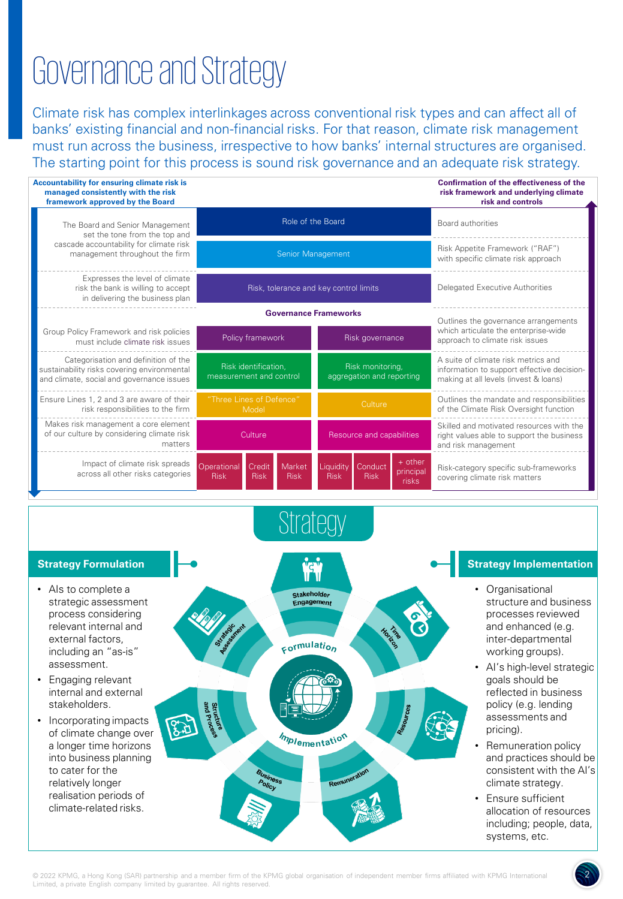## Governance and Strategy

Climate risk has complex interlinkages across conventional risk types and can affect all of banks' existing financial and non-financial risks. For that reason, climate risk management must run across the business, irrespective to how banks' internal structures are organised. The starting point for this process is sound risk governance and an adequate risk strategy.



22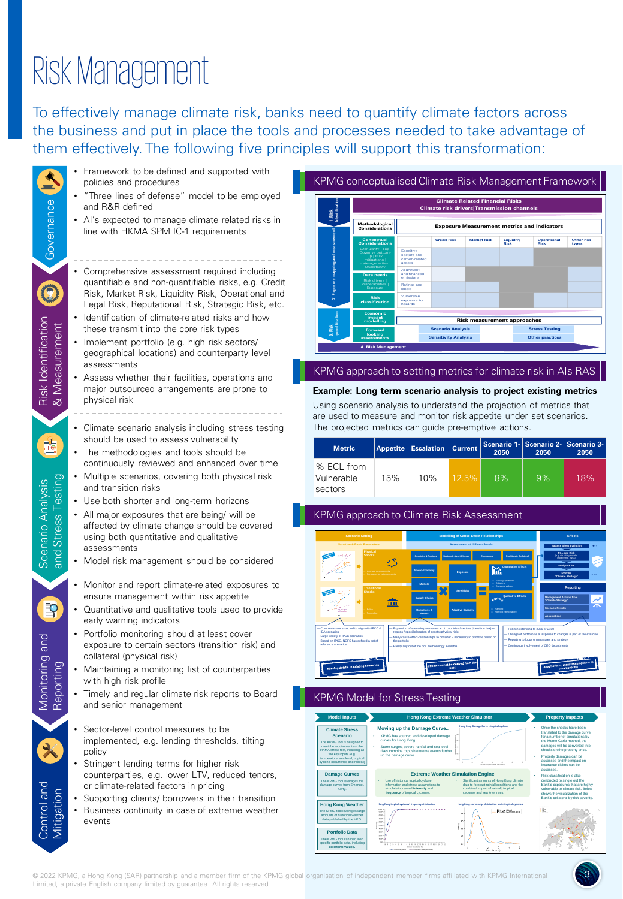## Risk Management

To effectively manage climate risk, banks need to quantify climate factors across the business and put in place the tools and processes needed to take advantage of them effectively. The following five principles will support this transformation:

|                                                              | Framework to be defined and supported with<br>policies and procedures                                                                                                                                                                                                                                                                        |                                                                                                                                                                                                                                                                                                                                                                                                     |                                           | KPMG conceptualised Climate Risk Management Framewor                                                                                                                                                                                                                                                                                                                |                                                         |                                                                                                                                                                                       |                                                                                                                                                                                                                                                                                                                                                               |                                                                                                                                                                        |
|--------------------------------------------------------------|----------------------------------------------------------------------------------------------------------------------------------------------------------------------------------------------------------------------------------------------------------------------------------------------------------------------------------------------|-----------------------------------------------------------------------------------------------------------------------------------------------------------------------------------------------------------------------------------------------------------------------------------------------------------------------------------------------------------------------------------------------------|-------------------------------------------|---------------------------------------------------------------------------------------------------------------------------------------------------------------------------------------------------------------------------------------------------------------------------------------------------------------------------------------------------------------------|---------------------------------------------------------|---------------------------------------------------------------------------------------------------------------------------------------------------------------------------------------|---------------------------------------------------------------------------------------------------------------------------------------------------------------------------------------------------------------------------------------------------------------------------------------------------------------------------------------------------------------|------------------------------------------------------------------------------------------------------------------------------------------------------------------------|
|                                                              | • "Three lines of defense" model to be employed<br>and R&R defined                                                                                                                                                                                                                                                                           | <b>Climate Related Financial Risks</b><br>Climate risk drivers Transmission channels                                                                                                                                                                                                                                                                                                                |                                           |                                                                                                                                                                                                                                                                                                                                                                     |                                                         |                                                                                                                                                                                       |                                                                                                                                                                                                                                                                                                                                                               |                                                                                                                                                                        |
|                                                              | • Al's expected to manage climate related risks in<br>line with HKMA SPM IC-1 requirements                                                                                                                                                                                                                                                   |                                                                                                                                                                                                                                                                                                                                                                                                     | <b>Methodological</b><br>Considerations   |                                                                                                                                                                                                                                                                                                                                                                     |                                                         |                                                                                                                                                                                       | <b>Exposure Measurement metrics and indicators</b>                                                                                                                                                                                                                                                                                                            |                                                                                                                                                                        |
| Governance                                                   |                                                                                                                                                                                                                                                                                                                                              |                                                                                                                                                                                                                                                                                                                                                                                                     | Conceptual<br>onsideration:               | <b>Credit Risk</b><br>Sensitive<br>sectors and<br>carbon-related                                                                                                                                                                                                                                                                                                    | <b>Market Risk</b>                                      | Liquidity<br>Risk                                                                                                                                                                     | <b>Operational</b>                                                                                                                                                                                                                                                                                                                                            | Other ris                                                                                                                                                              |
|                                                              | Comprehensive assessment required including<br>quantifiable and non-quantifiable risks, e.g. Credit<br>Risk, Market Risk, Liquidity Risk, Operational and<br>Legal Risk, Reputational Risk, Strategic Risk, etc.                                                                                                                             |                                                                                                                                                                                                                                                                                                                                                                                                     | Risk<br>classification                    | assets<br>Alignment<br>and financed<br>emissions<br>Ratings and<br>Vulnerable<br>exposure to<br>hazards                                                                                                                                                                                                                                                             |                                                         |                                                                                                                                                                                       |                                                                                                                                                                                                                                                                                                                                                               |                                                                                                                                                                        |
| Risk Identification<br>& Measurement                         | Identification of climate-related risks and how<br>these transmit into the core risk types<br>Implement portfolio (e.g. high risk sectors/<br>geographical locations) and counterparty level<br>assessments                                                                                                                                  |                                                                                                                                                                                                                                                                                                                                                                                                     | impact<br>nodelling<br>4. Risk Management |                                                                                                                                                                                                                                                                                                                                                                     | <b>Scenario Analysis</b><br><b>Sensitivity Analysis</b> | <b>Risk measurement approaches</b>                                                                                                                                                    | <b>Stress Testing</b><br><b>Other practices</b>                                                                                                                                                                                                                                                                                                               |                                                                                                                                                                        |
|                                                              | Assess whether their facilities, operations and<br>major outsourced arrangements are prone to<br>physical risk                                                                                                                                                                                                                               |                                                                                                                                                                                                                                                                                                                                                                                                     |                                           | KPMG approach to setting metrics for climate risk in Als RA<br>Example: Long term scenario analysis to project existing metrion<br>Using scenario analysis to understand the projection of metrics that<br>are used to measure and monitor risk appetite under set scenarios.                                                                                       |                                                         |                                                                                                                                                                                       |                                                                                                                                                                                                                                                                                                                                                               |                                                                                                                                                                        |
| 望                                                            | • Climate scenario analysis including stress testing<br>should be used to assess vulnerability<br>The methodologies and tools should be                                                                                                                                                                                                      | <b>Metric</b>                                                                                                                                                                                                                                                                                                                                                                                       | <b>Appetite</b>                           | The projected metrics can guide pre-emptive actions.<br><b>Escalation</b>                                                                                                                                                                                                                                                                                           | <b>Current</b>                                          | Scenario 1-<br>2050                                                                                                                                                                   | Scenario 2-<br>2050                                                                                                                                                                                                                                                                                                                                           | <b>Scenar</b><br>205                                                                                                                                                   |
|                                                              | continuously reviewed and enhanced over time<br>• Multiple scenarios, covering both physical risk                                                                                                                                                                                                                                            | % ECL from<br>Vulnerable                                                                                                                                                                                                                                                                                                                                                                            | 15%                                       | 10%                                                                                                                                                                                                                                                                                                                                                                 | 12.5%                                                   | 8%                                                                                                                                                                                    | 9%                                                                                                                                                                                                                                                                                                                                                            | 18 <sup>c</sup>                                                                                                                                                        |
| <b>Stress Testing</b><br>Scenario Analysis<br>$\frac{1}{10}$ | and transition risks                                                                                                                                                                                                                                                                                                                         | sectors                                                                                                                                                                                                                                                                                                                                                                                             |                                           |                                                                                                                                                                                                                                                                                                                                                                     |                                                         |                                                                                                                                                                                       |                                                                                                                                                                                                                                                                                                                                                               |                                                                                                                                                                        |
|                                                              | Use both shorter and long-term horizons<br>All major exposures that are being/ will be<br>affected by climate change should be covered<br>using both quantitative and qualitative<br>assessments                                                                                                                                             |                                                                                                                                                                                                                                                                                                                                                                                                     |                                           | KPMG approach to Climate Risk Assessment                                                                                                                                                                                                                                                                                                                            | <b>Modelling of Cause-Effect Re</b>                     |                                                                                                                                                                                       |                                                                                                                                                                                                                                                                                                                                                               | <b>Effects</b>                                                                                                                                                         |
|                                                              | Model risk management should be considered                                                                                                                                                                                                                                                                                                   |                                                                                                                                                                                                                                                                                                                                                                                                     |                                           |                                                                                                                                                                                                                                                                                                                                                                     |                                                         |                                                                                                                                                                                       |                                                                                                                                                                                                                                                                                                                                                               |                                                                                                                                                                        |
|                                                              | Monitor and report climate-related exposures to<br>ensure management within risk appetite                                                                                                                                                                                                                                                    |                                                                                                                                                                                                                                                                                                                                                                                                     |                                           |                                                                                                                                                                                                                                                                                                                                                                     |                                                         |                                                                                                                                                                                       |                                                                                                                                                                                                                                                                                                                                                               |                                                                                                                                                                        |
| $\mathsf{P}$                                                 | Quantitative and qualitative tools used to provide<br>early warning indicators                                                                                                                                                                                                                                                               |                                                                                                                                                                                                                                                                                                                                                                                                     | Ш                                         |                                                                                                                                                                                                                                                                                                                                                                     |                                                         |                                                                                                                                                                                       |                                                                                                                                                                                                                                                                                                                                                               |                                                                                                                                                                        |
| loue<br>Monitoring<br>lenit<br>iepor                         | • Portfolio monitoring should at least cover<br>exposure to certain sectors (transition risk) and<br>collateral (physical risk)                                                                                                                                                                                                              | Large variety of IPCC scenarios<br>d on IPCC, NGFS has defined a set of                                                                                                                                                                                                                                                                                                                             |                                           | expansion or scenario parameters w.r.c. counties<br>regions / specific location of assets (physical risk)<br>Many cause-effect-relationships to consider - necessary to p<br>the portfoli<br>Hardly any out of the box methodology as                                                                                                                               |                                                         |                                                                                                                                                                                       | Horizon extending to 2050 or 210<br>Change of portfolio as a response to changes is pa<br>Reporting to focus on measures and strated<br>ant of CEO de                                                                                                                                                                                                         |                                                                                                                                                                        |
|                                                              | Maintaining a monitoring list of counterparties<br>with high risk profile                                                                                                                                                                                                                                                                    |                                                                                                                                                                                                                                                                                                                                                                                                     |                                           |                                                                                                                                                                                                                                                                                                                                                                     |                                                         |                                                                                                                                                                                       |                                                                                                                                                                                                                                                                                                                                                               |                                                                                                                                                                        |
|                                                              | Timely and regular climate risk reports to Board<br>and senior management                                                                                                                                                                                                                                                                    | <b>Model Inputs</b>                                                                                                                                                                                                                                                                                                                                                                                 |                                           | <b>KPMG Model for Stress Testing</b><br><b>Hong Kong Extreme Weather Simulator</b>                                                                                                                                                                                                                                                                                  |                                                         |                                                                                                                                                                                       |                                                                                                                                                                                                                                                                                                                                                               |                                                                                                                                                                        |
| Control and<br>Mitigation                                    | Sector-level control measures to be<br>implemented, e.g. lending thresholds, tilting<br>policy<br>Stringent lending terms for higher risk<br>counterparties, e.g. lower LTV, reduced tenors,<br>or climate-related factors in pricing<br>Supporting clients/ borrowers in their transition<br>Business continuity in case of extreme weather | <b>Climate Stress</b><br><b>Scenario</b><br>The KPMG tool is designed to<br>meet the requirements of the<br>HKMA stress test, including<br>the key inputs (e.g.<br>serature, sea level, tro<br>ne occurrence and rainfall<br><b>Damage Curves</b><br>The KPMG tool leverages the<br>ge curves from Emanuel<br>Kerry.<br><b>Hong Kong Weather</b><br>The KPMG tool lev<br>ges large<br>ounts of hist |                                           | Moving up the Damage Curve<br>KPMG has sourced and developed damage<br>curves for Hong Kong.<br>Storm surges, severe rainfall and sea level<br>rises combine to push extreme events further<br>up the damage curve.<br>Use of historical tropical cyclone<br>information and stress assumptions to<br>simulate increased intensity and<br>frequency of tropical cyr | <b>Extreme Weather Simulation Engine</b>                | Significant amounts of Hong Kong climate<br>data to forecast rainfall conditions and the<br>combined impact of rainfall, tropical<br>: Hiecelos (fitne)<br>: Pojación (ACI) parourili | <b>Property Impacts</b><br>Once the shocks have been<br>the Monte Carlo method, the<br>shocks on the property price.<br>Property damages can be<br>assessed and the impact on<br>insurance claims can be<br>assessed.<br>Risk classification is also<br>conducted to single out the<br>Bank's exposures that are high<br>Bank's collateral by risk sever<br>E | translated to the damage curve<br>for a number of simulations by<br>damages will be converted in<br>vulnerable to climate risk. Belo<br>shows the visualization of the |
|                                                              | events<br>2022 KPMG, a Hong Kong (SAR) partnership and a member firm of the KPMG global organisation of independent member firms affiliated with KPMG Internationa                                                                                                                                                                           | data published by the HKO.<br><b>Portfolio Data</b><br>The KPMG tool can load k<br>zific portfolio data, including<br>collateral values.                                                                                                                                                                                                                                                            |                                           | <b>12341478999999999999</b><br>nter ol peran                                                                                                                                                                                                                                                                                                                        | $25 -$<br>š.                                            | a<br>Sur Says In                                                                                                                                                                      |                                                                                                                                                                                                                                                                                                                                                               |                                                                                                                                                                        |



#### KPMG approach to setting metrics for climate risk in AIs RAS

### **Example: Long term scenario analysis to project existing metrics**

| <b>Metric</b>                       |     | Appetite   Escalation   Current |       | Scenario 1- Scenario 2- Scenario 3-<br>2050<br>2050 |    | 2050 |  |
|-------------------------------------|-----|---------------------------------|-------|-----------------------------------------------------|----|------|--|
| % ECL from<br>Vulnerable<br>sectors | 15% | 10%                             | 12.5% | 8%                                                  | 9% | 18%  |  |

### KPMG approach to Climate Risk Assessment



### KPMG Model for Stress Testing

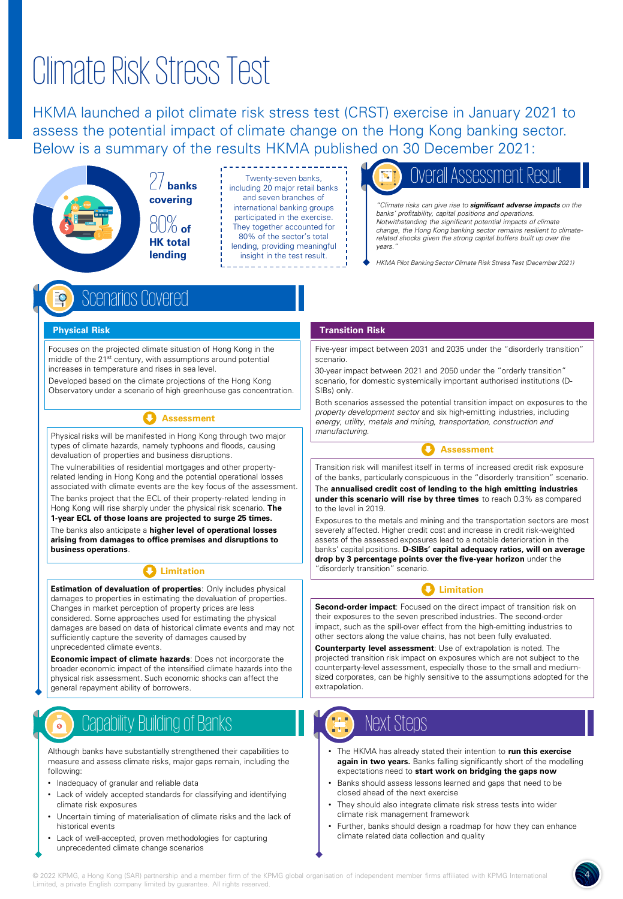## Climate Risk Stress Test

HKMA launched a pilot climate risk stress test (CRST) exercise in January 2021 to assess the potential impact of climate change on the Hong Kong banking sector. Below is a summary of the results HKMA published on 30 December 2021:

> **banks covering**  80% **of HK total lending**

Twenty-seven banks, including 20 major retail banks and seven branches of international banking groups participated in the exercise. They together accounted for 80% of the sector's total lending, providing meaningful insight in the test result.

### Assessment

"Climate risks can give rise to **significant adverse impacts** on the banks' profitability, capital positions and operations. Notwithstanding the significant potential impacts of climate change, the Hong Kong banking sector remains resilient to climaterelated shocks given the strong capital buffers built up over the vears.

HKMA Pilot Banking Sector Climate Risk Stress Test (December 2021)

### Scenarios Covered

#### **Physical Risk**

Focuses on the projected climate situation of Hong Kong in the middle of the 21st century, with assumptions around potential increases in temperature and rises in sea level.

Developed based on the climate projections of the Hong Kong Observatory under a scenario of high greenhouse gas concentration.

### **Assessment**

Physical risks will be manifested in Hong Kong through two major types of climate hazards, namely typhoons and floods, causing devaluation of properties and business disruptions.

The vulnerabilities of residential mortgages and other propertyrelated lending in Hong Kong and the potential operational losses associated with climate events are the key focus of the assessment.

The banks project that the ECL of their property-related lending in Hong Kong will rise sharply under the physical risk scenario. **The** 

**1-year ECL of those loans are projected to surge 25 times.**  The banks also anticipate a **higher level of operational losses** 

**arising from damages to office premises and disruptions to business operations**.

### **Limitation**

**Estimation of devaluation of properties**: Only includes physical damages to properties in estimating the devaluation of properties. Changes in market perception of property prices are less considered. Some approaches used for estimating the physical damages are based on data of historical climate events and may not sufficiently capture the severity of damages caused by unprecedented climate events.

**Economic impact of climate hazards**: Does not incorporate the broader economic impact of the intensified climate hazards into the physical risk assessment. Such economic shocks can affect the general repayment ability of borrowers.

## Capability Building of Banks

Although banks have substantially strengthened their capabilities to measure and assess climate risks, major gaps remain, including the following:

- Inadequacy of granular and reliable data
- Lack of widely accepted standards for classifying and identifying climate risk exposures
- Uncertain timing of materialisation of climate risks and the lack of historical events
- Lack of well-accepted, proven methodologies for capturing unprecedented climate change scenarios

#### **Transition Risk**

Five-year impact between 2031 and 2035 under the "disorderly transition" scenario.

30-year impact between 2021 and 2050 under the "orderly transition" scenario, for domestic systemically important authorised institutions (D-SIBs) only.

Both scenarios assessed the potential transition impact on exposures to the property development sector and six high-emitting industries, including energy, utility, metals and mining, transportation, construction and manufacturing.



Transition risk will manifest itself in terms of increased credit risk exposure of the banks, particularly conspicuous in the "disorderly transition" scenario.

The **annualised credit cost of lending to the high emitting industries under this scenario will rise by three times** to reach 0.3% as compared to the level in 2019.

Exposures to the metals and mining and the transportation sectors are most severely affected. Higher credit cost and increase in credit risk-weighted assets of the assessed exposures lead to a notable deterioration in the banks' capital positions. **D-SIBs' capital adequacy ratios, will on average drop by 3 percentage points over the five-year horizon** under the "disorderly transition" scenario.

### **Limitation**

**Second-order impact**: Focused on the direct impact of transition risk on their exposures to the seven prescribed industries. The second-order impact, such as the spill-over effect from the high-emitting industries to other sectors along the value chains, has not been fully evaluated.

**Counterparty level assessment**: Use of extrapolation is noted. The projected transition risk impact on exposures which are not subject to the counterparty-level assessment, especially those to the small and mediumsized corporates, can be highly sensitive to the assumptions adopted for the extrapolation.

## Next Steps

- The HKMA has already stated their intention to **run this exercise again in two years.** Banks falling significantly short of the modelling expectations need to **start work on bridging the gaps now**
- Banks should assess lessons learned and gaps that need to be closed ahead of the next exercise
- They should also integrate climate risk stress tests into wider climate risk management framework
- Further, banks should design a roadmap for how they can enhance climate related data collection and quality

4

<u>и</u>

4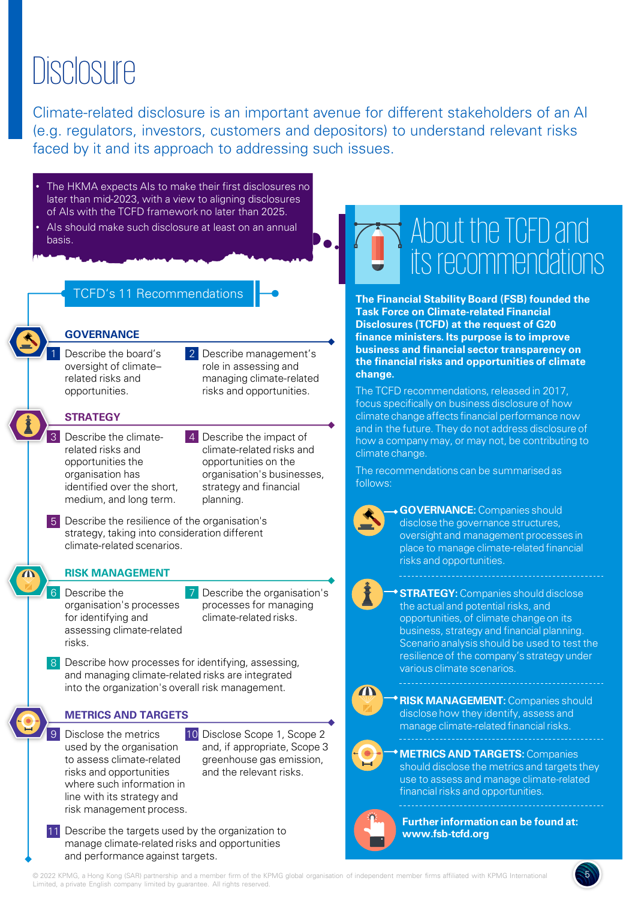## **Disclosure**

Climate-related disclosure is an important avenue for different stakeholders of an AI (e.g. regulators, investors, customers and depositors) to understand relevant risks faced by it and its approach to addressing such issues.

The HKMA expects AIs to make their first disclosures no later than mid-2023, with a view to aligning disclosures of AIs with the TCFD framework no later than 2025. Als should make such disclosure at least on an annual

TCFD's 11 Recommendations



basis.

1 Describe the board's 2 oversight of climate– related risks and opportunities.

**GOVERNANCE**

2 Describe management's role in assessing and managing climate-related risks and opportunities.

### **STRATEGY**

- 3 Describe the climate-<br>
4 related risks and opportunities the organisation has identified over the short, medium, and long term.
- 4 Describe the impact of climate-related risks and opportunities on the organisation's businesses, strategy and financial planning.
- 5 Describe the resilience of the organisation's strategy, taking into consideration different climate-related scenarios.

### **RISK MANAGEMENT**

6 Describe the 27 organisation's processes for identifying and assessing climate-related risks.

Describe the organisation's processes for managing climate-related risks.

8 Describe how processes for identifying, assessing, and managing climate-related risks are integrated into the organization's overall risk management.

### **METRICS AND TARGETS**

- 9 Disclose the metrics 10 used by the organisation to assess climate-related risks and opportunities where such information in line with its strategy and risk management process.
	- 10 Disclose Scope 1, Scope 2 and, if appropriate, Scope 3 greenhouse gas emission, and the relevant risks.
- 11 Describe the targets used by the organization to manage climate-related risks and opportunities and performance against targets.

## About the TCFD and its recommendations

**The Financial Stability Board (FSB) founded the Task Force on Climate-related Financial Disclosures (TCFD) at the request of G20 finance ministers. Its purpose is to improve business and financial sector transparency on the financial risks and opportunities of climate change.** 

The TCFD recommendations, released in 2017, focus specifically on business disclosure of how climate change affects financial performance now and in the future. They do not address disclosure of how a company may, or may not, be contributing to climate change.

The recommendations can be summarised as follows:

**GOVERNANCE:** Companies should disclose the governance structures, oversight and management processes in place to manage climate-related financial risks and opportunities.

**STRATEGY:** Companies should disclose the actual and potential risks, and opportunities, of climate change on its business, strategy and financial planning. Scenario analysis should be used to test the resilience of the company's strategy under various climate scenarios.

 $\blacksquare$ 

**RISK MANAGEMENT: Companies should** disclose how they identify, assess and manage climate-related financial risks.

### **METRICS AND TARGETS:** Companies should disclose the metrics and targets they use to assess and manage climate-related financial risks and opportunities.



**Further information can be found at: www.fsb-tcfd.org**

5

55